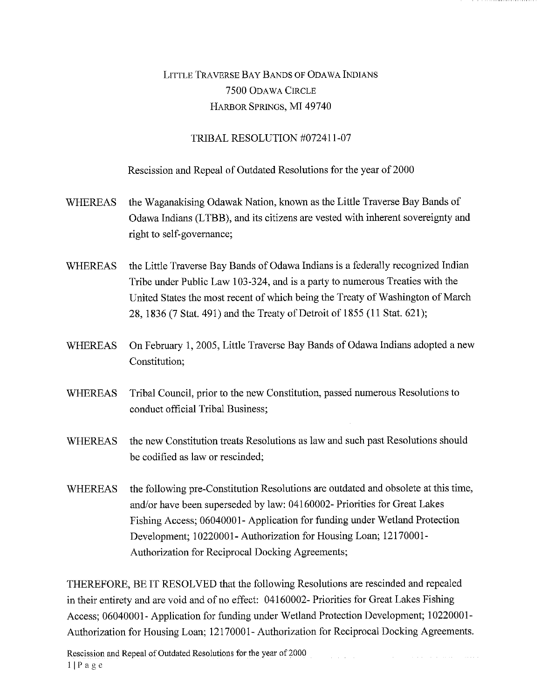## LITTLE TRAVERSE BAY BANDS OF ODAWA INDIANS 7500 ODAWA CIRCLE HARBOR SPRINGS, MI 49740

## TRIBAL RESOLUTION #072411-07

Rescission and Repeal of Outdated Resolutions for the year of 2000

- WHEREAS the Waganakising Odawak Nation, known as the Little Traverse Bay Bands of Odawa Indians (LTBB), and its citizens are vested with inherent sovereignty and right to self-governance;
- WHEREAS the Little Traverse Bay Bands of Odawa Indians is a federally recognized Indian Tribe under Public Law 103-324, and is a party to numerous Treaties with the United States the most recent of which being the Treaty of Washington of March 28, 1836 (7 Stat. 491) and the Treaty of Detroit of 1855 (11 Stat. 621);
- WHEREAS On February 1, 2005, Little Traverse Bay Bands of Odawa Indians adopted a new Constitution;
- WHEREAS Tribal Council, prior to the new Constitution, passed numerous Resolutions to conduct official Tribal Business;
- WHEREAS the new Constitution treats Resolutions as law and such past Resolutions should be codified as law or rescinded;
- WHEREAS the following pre-Constitution Resolutions are outdated and obsolete at this time, and/or have been superseded by law: 04160002- Priorities for Great Lakes Fishing Access; 06040001- Application for funding under Wetland Protection Development; 10220001- Authorization for Housing Loan; 12170001- Authorization for Reciprocal Docking Agreements;

THEREFORE, BE IT RESOLVED that the following Resolutions are rescinded and repealed in their entirety and are void and of no effect: 04160002- Priorities for Great Lakes Fishing Access; 06040001- Application for funding under Wetland Protection Development; 10220001- Authorization for Housing Loan; 12170001- Authorization for Reciprocal Docking Agreements.